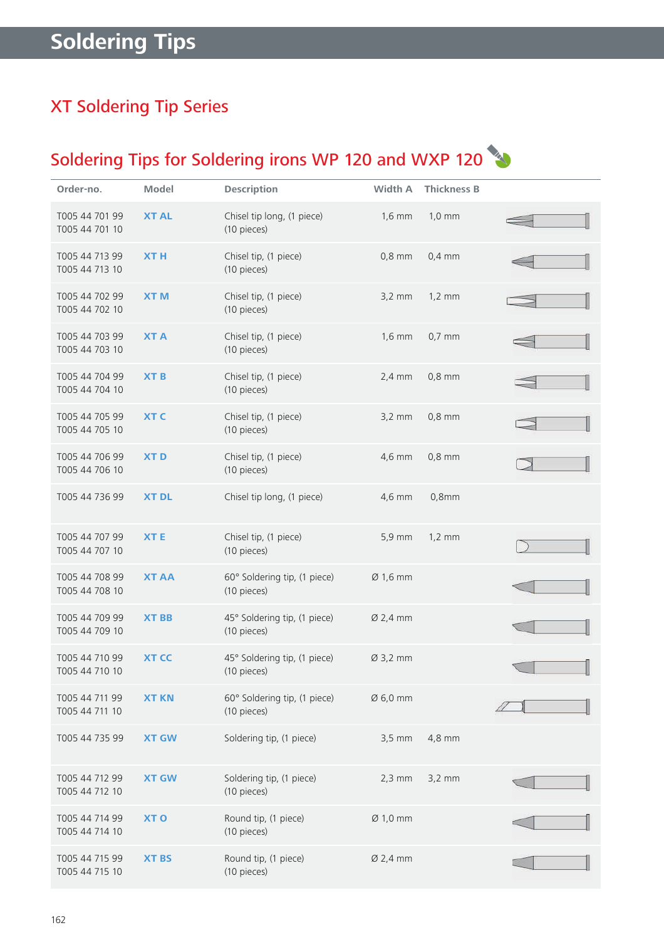# XT Soldering Tip Series

# Soldering Tips for Soldering irons WP 120 and WXP 120

| Order-no.                        | Model           | <b>Description</b>                          | Width A              | <b>Thickness B</b> |  |
|----------------------------------|-----------------|---------------------------------------------|----------------------|--------------------|--|
| T005 44 701 99<br>T005 44 701 10 | <b>XT AL</b>    | Chisel tip long, (1 piece)<br>(10 pieces)   | $1,6$ mm             | $1,0 \text{ mm}$   |  |
| T005 44 713 99<br>T005 44 713 10 | <b>XTH</b>      | Chisel tip, (1 piece)<br>(10 pieces)        | $0,8$ mm             | $0,4$ mm           |  |
| T005 44 702 99<br>T005 44 702 10 | <b>XTM</b>      | Chisel tip, (1 piece)<br>(10 pieces)        | $3,2 \text{ mm}$     | $1,2 \text{ mm}$   |  |
| T005 44 703 99<br>T005 44 703 10 | <b>XTA</b>      | Chisel tip, (1 piece)<br>(10 pieces)        | $1,6$ mm             | $0,7$ mm           |  |
| T005 44 704 99<br>T005 44 704 10 | <b>XTB</b>      | Chisel tip, (1 piece)<br>(10 pieces)        | $2,4$ mm             | $0,8$ mm           |  |
| T005 44 705 99<br>T005 44 705 10 | <b>XTC</b>      | Chisel tip, (1 piece)<br>(10 pieces)        | $3,2 \text{ mm}$     | $0,8$ mm           |  |
| T005 44 706 99<br>T005 44 706 10 | <b>XTD</b>      | Chisel tip, (1 piece)<br>(10 pieces)        | 4,6 mm               | $0,8$ mm           |  |
| T005 44 736 99                   | <b>XT DL</b>    | Chisel tip long, (1 piece)                  | 4,6 mm               | $0,8$ mm           |  |
| T005 44 707 99<br>T005 44 707 10 | <b>XTE</b>      | Chisel tip, (1 piece)<br>(10 pieces)        | 5,9 mm               | $1,2 \text{ mm}$   |  |
| T005 44 708 99<br>T005 44 708 10 | <b>XT AA</b>    | 60° Soldering tip, (1 piece)<br>(10 pieces) | Ø 1,6 mm             |                    |  |
| T005 44 709 99<br>T005 44 709 10 | <b>XT BB</b>    | 45° Soldering tip, (1 piece)<br>(10 pieces) | Ø 2,4 mm             |                    |  |
| T005 44 710 99<br>T005 44 710 10 | <b>XT CC</b>    | 45° Soldering tip, (1 piece)<br>(10 pieces) | Ø 3,2 mm             |                    |  |
| T005 44 711 99<br>T005 44 711 10 | <b>XT KN</b>    | 60° Soldering tip, (1 piece)<br>(10 pieces) | $\varnothing$ 6,0 mm |                    |  |
| T005 44 735 99                   | <b>XT GW</b>    | Soldering tip, (1 piece)                    | $3,5$ mm             | 4,8 mm             |  |
| T005 44 712 99<br>T005 44 712 10 | <b>XT GW</b>    | Soldering tip, (1 piece)<br>(10 pieces)     | $2,3$ mm             | $3,2$ mm           |  |
| T005 44 714 99<br>T005 44 714 10 | XT <sub>O</sub> | Round tip, (1 piece)<br>(10 pieces)         | $Ø$ 1,0 mm           |                    |  |
| T005 44 715 99<br>T005 44 715 10 | <b>XT BS</b>    | Round tip, (1 piece)<br>(10 pieces)         | $Ø$ 2,4 mm           |                    |  |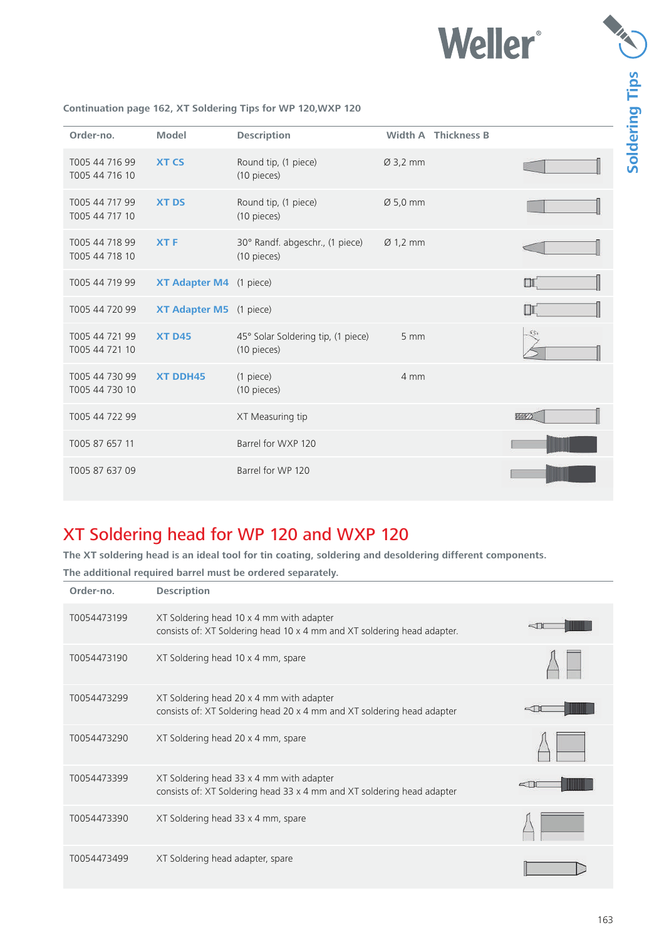

| Order-no.                        | <b>Model</b>            | <b>Description</b>                                |                      | <b>Width A Thickness B</b> |        |
|----------------------------------|-------------------------|---------------------------------------------------|----------------------|----------------------------|--------|
| T005 44 716 99<br>T005 44 716 10 | <b>XT CS</b>            | Round tip, (1 piece)<br>(10 pieces)               | $Ø$ 3,2 mm           |                            |        |
| T005 44 717 99<br>T005 44 717 10 | <b>XT DS</b>            | Round tip, (1 piece)<br>(10 pieces)               | Ø 5,0 mm             |                            |        |
| T005 44 718 99<br>T005 44 718 10 | <b>XTF</b>              | 30° Randf. abgeschr., (1 piece)<br>(10 pieces)    | $\varnothing$ 1,2 mm |                            |        |
| T005 44 719 99                   | XT Adapter M4 (1 piece) |                                                   |                      |                            | $\Box$ |
| T005 44 720 99                   | XT Adapter M5 (1 piece) |                                                   |                      |                            | $\Box$ |
| T005 44 721 99<br>T005 44 721 10 | <b>XT D45</b>           | 45° Solar Soldering tip, (1 piece)<br>(10 pieces) | 5 mm                 |                            |        |
| T005 44 730 99<br>T005 44 730 10 | <b>XT DDH45</b>         | (1 piece)<br>(10 pieces)                          | 4 mm                 |                            |        |
| T005 44 722 99                   |                         | XT Measuring tip                                  |                      |                            | 学の     |
| T005 87 657 11                   |                         | Barrel for WXP 120                                |                      |                            |        |
| T005 87 637 09                   |                         | Barrel for WP 120                                 |                      |                            |        |

#### **Continuation page 162, XT Soldering Tips for WP 120,WXP 120**

### XT Soldering head for WP 120 and WXP 120

**The XT soldering head is an ideal tool for tin coating, soldering and desoldering different components.** 

**The additional required barrel must be ordered separately. Order-no. Description** T0054473199 XT Soldering head 10 x 4 mm with adapter  $\sim$ TH consists of: XT Soldering head 10 x 4 mm and XT soldering head adapter. T0054473190 XT Soldering head 10 x 4 mm, spare T0054473299 XT Soldering head 20 x 4 mm with adapter  $\leq$ TI consists of: XT Soldering head 20 x 4 mm and XT soldering head adapter T0054473290 XT Soldering head 20 x 4 mm, spare T0054473399 XT Soldering head 33 x 4 mm with adapter  $\leq$ TI consists of: XT Soldering head 33 x 4 mm and XT soldering head adapter T0054473390 XT Soldering head 33 x 4 mm, spare T0054473499 XT Soldering head adapter, spare